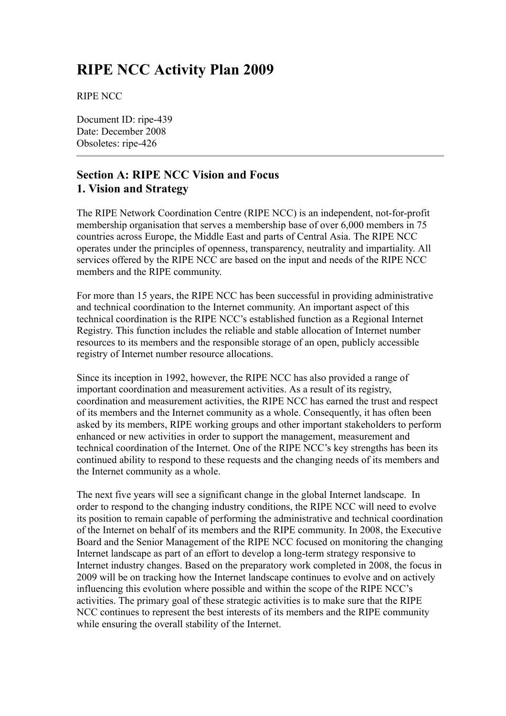# **RIPE NCC Activity Plan 2009**

RIPE NCC

Document ID: ripe-439 Date: December 2008 Obsoletes: ripe-426

## **Section A: RIPE NCC Vision and Focus 1. Vision and Strategy**

The RIPE Network Coordination Centre (RIPE NCC) is an independent, not-for-profit membership organisation that serves a membership base of over 6,000 members in 75 countries across Europe, the Middle East and parts of Central Asia. The RIPE NCC operates under the principles of openness, transparency, neutrality and impartiality. All services offered by the RIPE NCC are based on the input and needs of the RIPE NCC members and the RIPE community.

For more than 15 years, the RIPE NCC has been successful in providing administrative and technical coordination to the Internet community. An important aspect of this technical coordination is the RIPE NCC's established function as a Regional Internet Registry. This function includes the reliable and stable allocation of Internet number resources to its members and the responsible storage of an open, publicly accessible registry of Internet number resource allocations.

Since its inception in 1992, however, the RIPE NCC has also provided a range of important coordination and measurement activities. As a result of its registry, coordination and measurement activities, the RIPE NCC has earned the trust and respect of its members and the Internet community as a whole. Consequently, it has often been asked by its members, RIPE working groups and other important stakeholders to perform enhanced or new activities in order to support the management, measurement and technical coordination of the Internet. One of the RIPE NCC's key strengths has been its continued ability to respond to these requests and the changing needs of its members and the Internet community as a whole.

The next five years will see a significant change in the global Internet landscape. In order to respond to the changing industry conditions, the RIPE NCC will need to evolve its position to remain capable of performing the administrative and technical coordination of the Internet on behalf of its members and the RIPE community. In 2008, the Executive Board and the Senior Management of the RIPE NCC focused on monitoring the changing Internet landscape as part of an effort to develop a long-term strategy responsive to Internet industry changes. Based on the preparatory work completed in 2008, the focus in 2009 will be on tracking how the Internet landscape continues to evolve and on actively influencing this evolution where possible and within the scope of the RIPE NCC's activities. The primary goal of these strategic activities is to make sure that the RIPE NCC continues to represent the best interests of its members and the RIPE community while ensuring the overall stability of the Internet.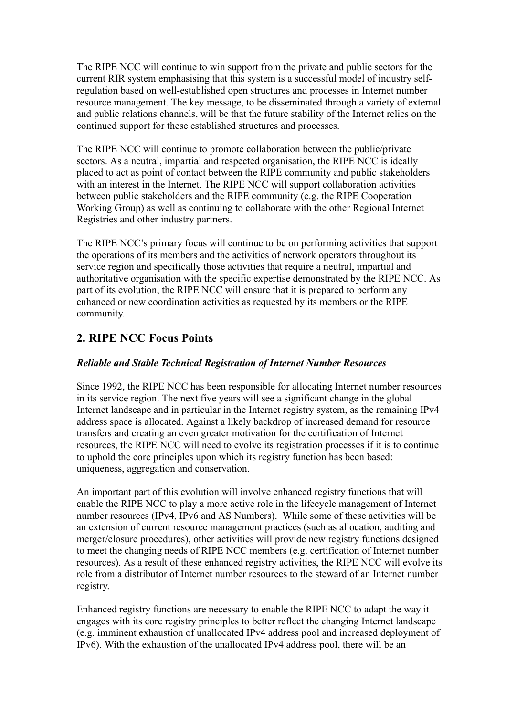The RIPE NCC will continue to win support from the private and public sectors for the current RIR system emphasising that this system is a successful model of industry selfregulation based on well-established open structures and processes in Internet number resource management. The key message, to be disseminated through a variety of external and public relations channels, will be that the future stability of the Internet relies on the continued support for these established structures and processes.

The RIPE NCC will continue to promote collaboration between the public/private sectors. As a neutral, impartial and respected organisation, the RIPE NCC is ideally placed to act as point of contact between the RIPE community and public stakeholders with an interest in the Internet. The RIPE NCC will support collaboration activities between public stakeholders and the RIPE community (e.g. the RIPE Cooperation Working Group) as well as continuing to collaborate with the other Regional Internet Registries and other industry partners.

The RIPE NCC's primary focus will continue to be on performing activities that support the operations of its members and the activities of network operators throughout its service region and specifically those activities that require a neutral, impartial and authoritative organisation with the specific expertise demonstrated by the RIPE NCC. As part of its evolution, the RIPE NCC will ensure that it is prepared to perform any enhanced or new coordination activities as requested by its members or the RIPE community.

## **2. RIPE NCC Focus Points**

### *Reliable and Stable Technical Registration of Internet Number Resources*

Since 1992, the RIPE NCC has been responsible for allocating Internet number resources in its service region. The next five years will see a significant change in the global Internet landscape and in particular in the Internet registry system, as the remaining IPv4 address space is allocated. Against a likely backdrop of increased demand for resource transfers and creating an even greater motivation for the certification of Internet resources, the RIPE NCC will need to evolve its registration processes if it is to continue to uphold the core principles upon which its registry function has been based: uniqueness, aggregation and conservation.

An important part of this evolution will involve enhanced registry functions that will enable the RIPE NCC to play a more active role in the lifecycle management of Internet number resources (IPv4, IPv6 and AS Numbers). While some of these activities will be an extension of current resource management practices (such as allocation, auditing and merger/closure procedures), other activities will provide new registry functions designed to meet the changing needs of RIPE NCC members (e.g. certification of Internet number resources). As a result of these enhanced registry activities, the RIPE NCC will evolve its role from a distributor of Internet number resources to the steward of an Internet number registry.

Enhanced registry functions are necessary to enable the RIPE NCC to adapt the way it engages with its core registry principles to better reflect the changing Internet landscape (e.g. imminent exhaustion of unallocated IPv4 address pool and increased deployment of IPv6). With the exhaustion of the unallocated IPv4 address pool, there will be an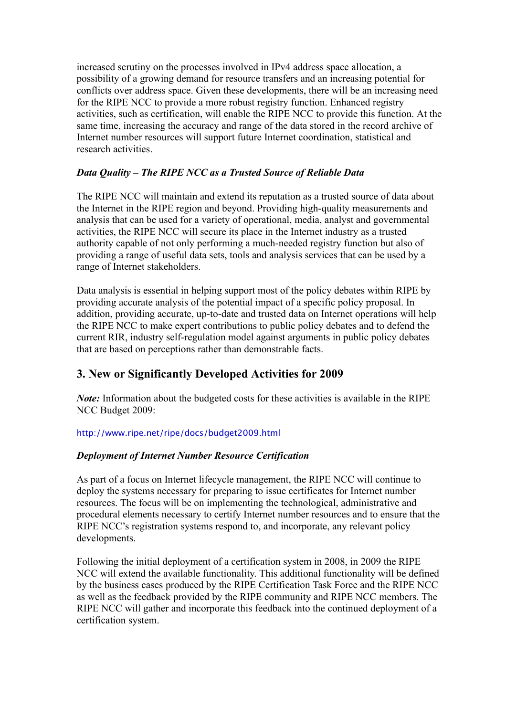increased scrutiny on the processes involved in IPv4 address space allocation, a possibility of a growing demand for resource transfers and an increasing potential for conflicts over address space. Given these developments, there will be an increasing need for the RIPE NCC to provide a more robust registry function. Enhanced registry activities, such as certification, will enable the RIPE NCC to provide this function. At the same time, increasing the accuracy and range of the data stored in the record archive of Internet number resources will support future Internet coordination, statistical and research activities.

### *Data Quality – The RIPE NCC as a Trusted Source of Reliable Data*

The RIPE NCC will maintain and extend its reputation as a trusted source of data about the Internet in the RIPE region and beyond. Providing high-quality measurements and analysis that can be used for a variety of operational, media, analyst and governmental activities, the RIPE NCC will secure its place in the Internet industry as a trusted authority capable of not only performing a much-needed registry function but also of providing a range of useful data sets, tools and analysis services that can be used by a range of Internet stakeholders.

Data analysis is essential in helping support most of the policy debates within RIPE by providing accurate analysis of the potential impact of a specific policy proposal. In addition, providing accurate, up-to-date and trusted data on Internet operations will help the RIPE NCC to make expert contributions to public policy debates and to defend the current RIR, industry self-regulation model against arguments in public policy debates that are based on perceptions rather than demonstrable facts.

## **3. New or Significantly Developed Activities for 2009**

*Note*: Information about the budgeted costs for these activities is available in the RIPE NCC Budget 2009:

### <http://www.ripe.net/ripe/docs/budget2009.html>

### *Deployment of Internet Number Resource Certification*

As part of a focus on Internet lifecycle management, the RIPE NCC will continue to deploy the systems necessary for preparing to issue certificates for Internet number resources. The focus will be on implementing the technological, administrative and procedural elements necessary to certify Internet number resources and to ensure that the RIPE NCC's registration systems respond to, and incorporate, any relevant policy developments.

Following the initial deployment of a certification system in 2008, in 2009 the RIPE NCC will extend the available functionality. This additional functionality will be defined by the business cases produced by the RIPE Certification Task Force and the RIPE NCC as well as the feedback provided by the RIPE community and RIPE NCC members. The RIPE NCC will gather and incorporate this feedback into the continued deployment of a certification system.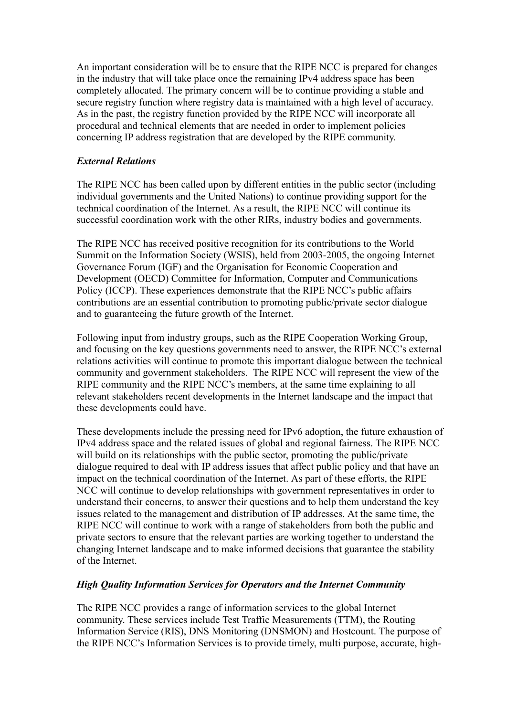An important consideration will be to ensure that the RIPE NCC is prepared for changes in the industry that will take place once the remaining IPv4 address space has been completely allocated. The primary concern will be to continue providing a stable and secure registry function where registry data is maintained with a high level of accuracy. As in the past, the registry function provided by the RIPE NCC will incorporate all procedural and technical elements that are needed in order to implement policies concerning IP address registration that are developed by the RIPE community.

### *External Relations*

The RIPE NCC has been called upon by different entities in the public sector (including individual governments and the United Nations) to continue providing support for the technical coordination of the Internet. As a result, the RIPE NCC will continue its successful coordination work with the other RIRs, industry bodies and governments.

The RIPE NCC has received positive recognition for its contributions to the World Summit on the Information Society (WSIS), held from 2003-2005, the ongoing Internet Governance Forum (IGF) and the Organisation for Economic Cooperation and Development (OECD) Committee for Information, Computer and Communications Policy (ICCP). These experiences demonstrate that the RIPE NCC's public affairs contributions are an essential contribution to promoting public/private sector dialogue and to guaranteeing the future growth of the Internet.

Following input from industry groups, such as the RIPE Cooperation Working Group, and focusing on the key questions governments need to answer, the RIPE NCC's external relations activities will continue to promote this important dialogue between the technical community and government stakeholders. The RIPE NCC will represent the view of the RIPE community and the RIPE NCC's members, at the same time explaining to all relevant stakeholders recent developments in the Internet landscape and the impact that these developments could have.

These developments include the pressing need for IPv6 adoption, the future exhaustion of IPv4 address space and the related issues of global and regional fairness. The RIPE NCC will build on its relationships with the public sector, promoting the public/private dialogue required to deal with IP address issues that affect public policy and that have an impact on the technical coordination of the Internet. As part of these efforts, the RIPE NCC will continue to develop relationships with government representatives in order to understand their concerns, to answer their questions and to help them understand the key issues related to the management and distribution of IP addresses. At the same time, the RIPE NCC will continue to work with a range of stakeholders from both the public and private sectors to ensure that the relevant parties are working together to understand the changing Internet landscape and to make informed decisions that guarantee the stability of the Internet.

### *High Quality Information Services for Operators and the Internet Community*

The RIPE NCC provides a range of information services to the global Internet community. These services include Test Traffic Measurements (TTM), the Routing Information Service (RIS), DNS Monitoring (DNSMON) and Hostcount. The purpose of the RIPE NCC's Information Services is to provide timely, multi purpose, accurate, high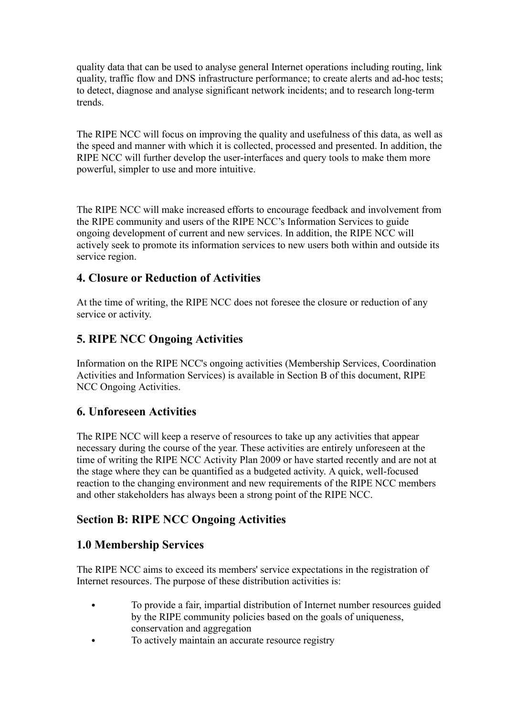quality data that can be used to analyse general Internet operations including routing, link quality, traffic flow and DNS infrastructure performance; to create alerts and ad-hoc tests; to detect, diagnose and analyse significant network incidents; and to research long-term trends.

The RIPE NCC will focus on improving the quality and usefulness of this data, as well as the speed and manner with which it is collected, processed and presented. In addition, the RIPE NCC will further develop the user-interfaces and query tools to make them more powerful, simpler to use and more intuitive.

The RIPE NCC will make increased efforts to encourage feedback and involvement from the RIPE community and users of the RIPE NCC's Information Services to guide ongoing development of current and new services. In addition, the RIPE NCC will actively seek to promote its information services to new users both within and outside its service region.

## **4. Closure or Reduction of Activities**

At the time of writing, the RIPE NCC does not foresee the closure or reduction of any service or activity.

## **5. RIPE NCC Ongoing Activities**

Information on the RIPE NCC's ongoing activities (Membership Services, Coordination Activities and Information Services) is available in Section B of this document, RIPE NCC Ongoing Activities.

## **6. Unforeseen Activities**

The RIPE NCC will keep a reserve of resources to take up any activities that appear necessary during the course of the year. These activities are entirely unforeseen at the time of writing the RIPE NCC Activity Plan 2009 or have started recently and are not at the stage where they can be quantified as a budgeted activity. A quick, well-focused reaction to the changing environment and new requirements of the RIPE NCC members and other stakeholders has always been a strong point of the RIPE NCC.

## **Section B: RIPE NCC Ongoing Activities**

## **1.0 Membership Services**

The RIPE NCC aims to exceed its members' service expectations in the registration of Internet resources. The purpose of these distribution activities is:

- To provide a fair, impartial distribution of Internet number resources guided by the RIPE community policies based on the goals of uniqueness, conservation and aggregation
- To actively maintain an accurate resource registry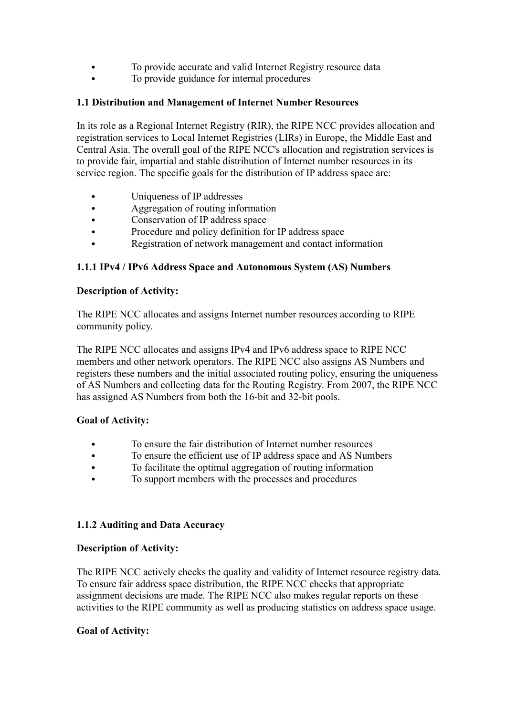- To provide accurate and valid Internet Registry resource data
- To provide guidance for internal procedures

### **1.1 Distribution and Management of Internet Number Resources**

In its role as a Regional Internet Registry (RIR), the RIPE NCC provides allocation and registration services to Local Internet Registries (LIRs) in Europe, the Middle East and Central Asia. The overall goal of the RIPE NCC's allocation and registration services is to provide fair, impartial and stable distribution of Internet number resources in its service region. The specific goals for the distribution of IP address space are:

- Uniqueness of IP addresses
- Aggregation of routing information
- Conservation of IP address space
- Procedure and policy definition for IP address space
- Registration of network management and contact information

### **1.1.1 IPv4 / IPv6 Address Space and Autonomous System (AS) Numbers**

#### **Description of Activity:**

The RIPE NCC allocates and assigns Internet number resources according to RIPE community policy.

The RIPE NCC allocates and assigns IPv4 and IPv6 address space to RIPE NCC members and other network operators. The RIPE NCC also assigns AS Numbers and registers these numbers and the initial associated routing policy, ensuring the uniqueness of AS Numbers and collecting data for the Routing Registry. From 2007, the RIPE NCC has assigned AS Numbers from both the 16-bit and 32-bit pools.

### **Goal of Activity:**

- To ensure the fair distribution of Internet number resources
- To ensure the efficient use of IP address space and AS Numbers
- To facilitate the optimal aggregation of routing information
- To support members with the processes and procedures

### **1.1.2 Auditing and Data Accuracy**

#### **Description of Activity:**

The RIPE NCC actively checks the quality and validity of Internet resource registry data. To ensure fair address space distribution, the RIPE NCC checks that appropriate assignment decisions are made. The RIPE NCC also makes regular reports on these activities to the RIPE community as well as producing statistics on address space usage.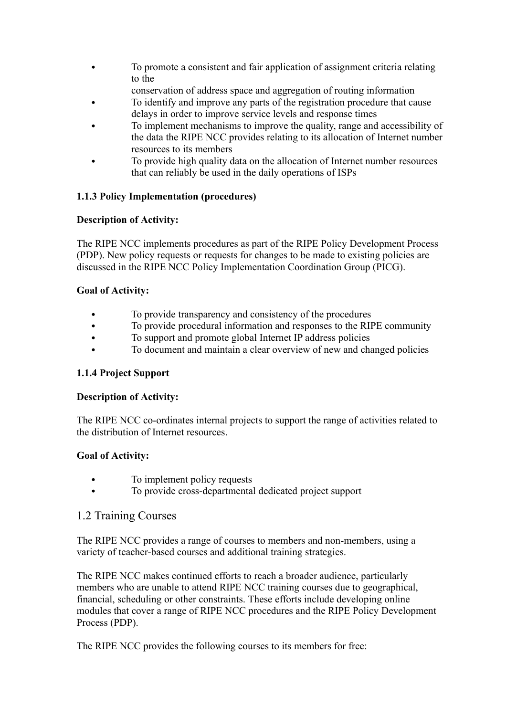- To promote a consistent and fair application of assignment criteria relating to the
	- conservation of address space and aggregation of routing information
- To identify and improve any parts of the registration procedure that cause delays in order to improve service levels and response times
- To implement mechanisms to improve the quality, range and accessibility of the data the RIPE NCC provides relating to its allocation of Internet number resources to its members
- To provide high quality data on the allocation of Internet number resources that can reliably be used in the daily operations of ISPs

### **1.1.3 Policy Implementation (procedures)**

### **Description of Activity:**

The RIPE NCC implements procedures as part of the RIPE Policy Development Process (PDP). New policy requests or requests for changes to be made to existing policies are discussed in the RIPE NCC Policy Implementation Coordination Group (PICG).

### **Goal of Activity:**

- To provide transparency and consistency of the procedures
- To provide procedural information and responses to the RIPE community
- To support and promote global Internet IP address policies
- To document and maintain a clear overview of new and changed policies

### **1.1.4 Project Support**

### **Description of Activity:**

The RIPE NCC co-ordinates internal projects to support the range of activities related to the distribution of Internet resources.

### **Goal of Activity:**

- To implement policy requests
- To provide cross-departmental dedicated project support

### 1.2 Training Courses

The RIPE NCC provides a range of courses to members and non-members, using a variety of teacher-based courses and additional training strategies.

The RIPE NCC makes continued efforts to reach a broader audience, particularly members who are unable to attend RIPE NCC training courses due to geographical, financial, scheduling or other constraints. These efforts include developing online modules that cover a range of RIPE NCC procedures and the RIPE Policy Development Process (PDP).

The RIPE NCC provides the following courses to its members for free: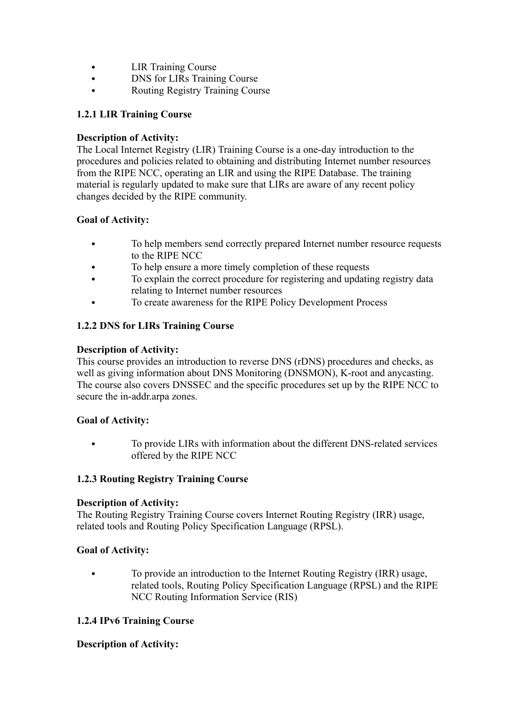- LIR Training Course
- DNS for LIRs Training Course
- Routing Registry Training Course

### **1.2.1 LIR Training Course**

### **Description of Activity:**

The Local Internet Registry (LIR) Training Course is a one-day introduction to the procedures and policies related to obtaining and distributing Internet number resources from the RIPE NCC, operating an LIR and using the RIPE Database. The training material is regularly updated to make sure that LIRs are aware of any recent policy changes decided by the RIPE community.

### **Goal of Activity:**

- To help members send correctly prepared Internet number resource requests to the RIPE NCC
- To help ensure a more timely completion of these requests
- To explain the correct procedure for registering and updating registry data relating to Internet number resources
- To create awareness for the RIPE Policy Development Process

### **1.2.2 DNS for LIRs Training Course**

### **Description of Activity:**

This course provides an introduction to reverse DNS (rDNS) procedures and checks, as well as giving information about DNS Monitoring (DNSMON), K-root and anycasting. The course also covers DNSSEC and the specific procedures set up by the RIPE NCC to secure the in-addr.arpa zones.

### **Goal of Activity:**

 To provide LIRs with information about the different DNS-related services offered by the RIPE NCC

### **1.2.3 Routing Registry Training Course**

### **Description of Activity:**

The Routing Registry Training Course covers Internet Routing Registry (IRR) usage, related tools and Routing Policy Specification Language (RPSL).

### **Goal of Activity:**

 To provide an introduction to the Internet Routing Registry (IRR) usage, related tools, Routing Policy Specification Language (RPSL) and the RIPE NCC Routing Information Service (RIS)

### **1.2.4 IPv6 Training Course**

### **Description of Activity:**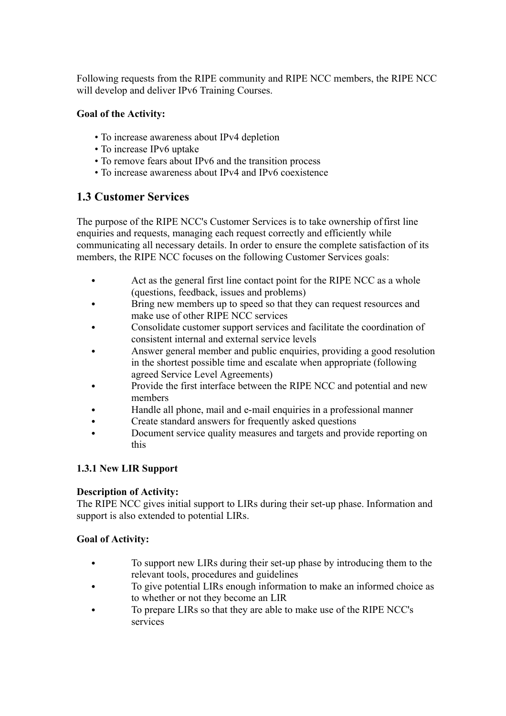Following requests from the RIPE community and RIPE NCC members, the RIPE NCC will develop and deliver IPv6 Training Courses.

### **Goal of the Activity:**

- To increase awareness about IPv4 depletion
- To increase IPv6 uptake
- To remove fears about IPv6 and the transition process
- To increase awareness about IPv4 and IPv6 coexistence

## **1.3 Customer Services**

The purpose of the RIPE NCC's Customer Services is to take ownership offirst line enquiries and requests, managing each request correctly and efficiently while communicating all necessary details. In order to ensure the complete satisfaction of its members, the RIPE NCC focuses on the following Customer Services goals:

- Act as the general first line contact point for the RIPE NCC as a whole (questions, feedback, issues and problems)
- Bring new members up to speed so that they can request resources and make use of other RIPE NCC services
- Consolidate customer support services and facilitate the coordination of consistent internal and external service levels
- Answer general member and public enquiries, providing a good resolution in the shortest possible time and escalate when appropriate (following agreed Service Level Agreements)
- Provide the first interface between the RIPE NCC and potential and new members
- Handle all phone, mail and e-mail enquiries in a professional manner
- Create standard answers for frequently asked questions
- Document service quality measures and targets and provide reporting on this

### **1.3.1 New LIR Support**

### **Description of Activity:**

The RIPE NCC gives initial support to LIRs during their set-up phase. Information and support is also extended to potential LIRs.

- To support new LIRs during their set-up phase by introducing them to the relevant tools, procedures and guidelines
- To give potential LIRs enough information to make an informed choice as to whether or not they become an LIR
- To prepare LIRs so that they are able to make use of the RIPE NCC's services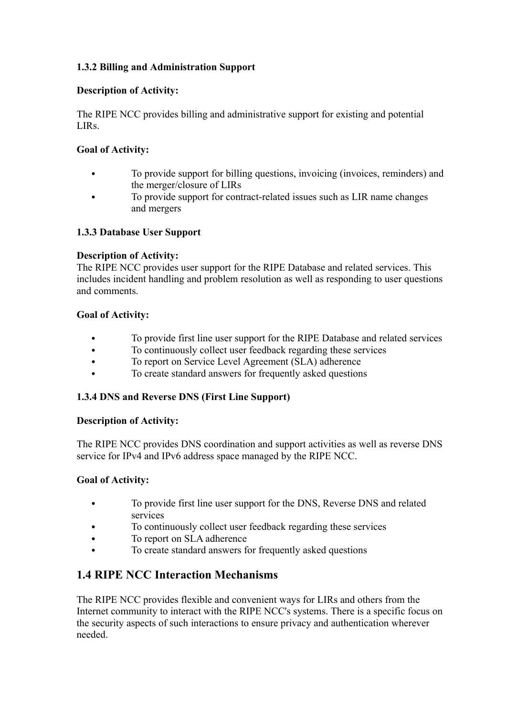### **1.3.2 Billing and Administration Support**

### **Description of Activity:**

The RIPE NCC provides billing and administrative support for existing and potential LIRs.

### **Goal of Activity:**

- To provide support for billing questions, invoicing (invoices, reminders) and the merger/closure of LIRs
- To provide support for contract-related issues such as LIR name changes and mergers

### **1.3.3 Database User Support**

### **Description of Activity:**

The RIPE NCC provides user support for the RIPE Database and related services. This includes incident handling and problem resolution as well as responding to user questions and comments.

#### **Goal of Activity:**

- To provide first line user support for the RIPE Database and related services
- To continuously collect user feedback regarding these services
- To report on Service Level Agreement (SLA) adherence
- To create standard answers for frequently asked questions

### **1.3.4 DNS and Reverse DNS (First Line Support)**

#### **Description of Activity:**

The RIPE NCC provides DNS coordination and support activities as well as reverse DNS service for IPv4 and IPv6 address space managed by the RIPE NCC.

### **Goal of Activity:**

- To provide first line user support for the DNS, Reverse DNS and related services
- To continuously collect user feedback regarding these services
- To report on SLA adherence
- To create standard answers for frequently asked questions

## **1.4 RIPE NCC Interaction Mechanisms**

The RIPE NCC provides flexible and convenient ways for LIRs and others from the Internet community to interact with the RIPE NCC's systems. There is a specific focus on the security aspects of such interactions to ensure privacy and authentication wherever needed.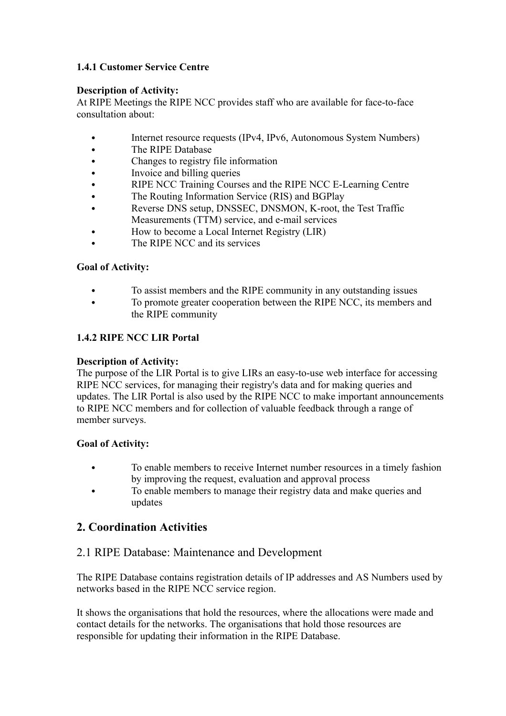### **1.4.1 Customer Service Centre**

#### **Description of Activity:**

At RIPE Meetings the RIPE NCC provides staff who are available for face-to-face consultation about:

- Internet resource requests (IPv4, IPv6, Autonomous System Numbers)
- The RIPE Database
- Changes to registry file information
- Invoice and billing queries
- RIPE NCC Training Courses and the RIPE NCC E-Learning Centre
- The Routing Information Service (RIS) and BGPlay
- Reverse DNS setup, DNSSEC, DNSMON, K-root, the Test Traffic Measurements (TTM) service, and e-mail services
- How to become a Local Internet Registry (LIR)
- The RIPE NCC and its services

### **Goal of Activity:**

- To assist members and the RIPE community in any outstanding issues
- To promote greater cooperation between the RIPE NCC, its members and the RIPE community

### **1.4.2 RIPE NCC LIR Portal**

#### **Description of Activity:**

The purpose of the LIR Portal is to give LIRs an easy-to-use web interface for accessing RIPE NCC services, for managing their registry's data and for making queries and updates. The LIR Portal is also used by the RIPE NCC to make important announcements to RIPE NCC members and for collection of valuable feedback through a range of member surveys.

### **Goal of Activity:**

- To enable members to receive Internet number resources in a timely fashion by improving the request, evaluation and approval process
- To enable members to manage their registry data and make queries and updates

## **2. Coordination Activities**

### 2.1 RIPE Database: Maintenance and Development

The RIPE Database contains registration details of IP addresses and AS Numbers used by networks based in the RIPE NCC service region.

It shows the organisations that hold the resources, where the allocations were made and contact details for the networks. The organisations that hold those resources are responsible for updating their information in the RIPE Database.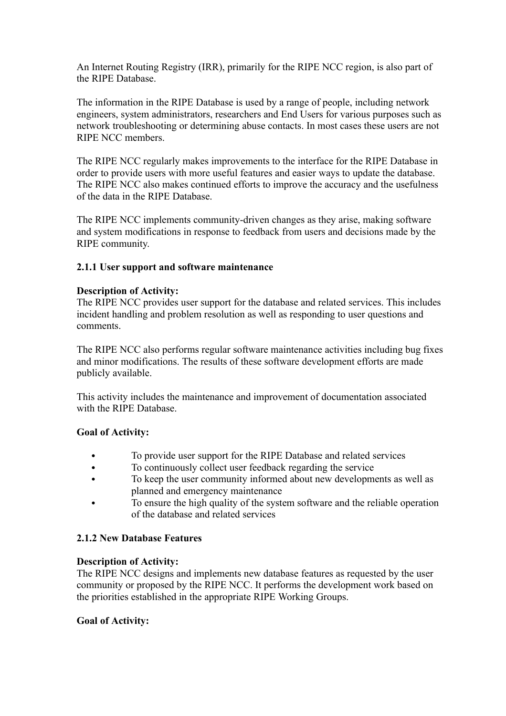An Internet Routing Registry (IRR), primarily for the RIPE NCC region, is also part of the RIPE Database.

The information in the RIPE Database is used by a range of people, including network engineers, system administrators, researchers and End Users for various purposes such as network troubleshooting or determining abuse contacts. In most cases these users are not RIPE NCC members.

The RIPE NCC regularly makes improvements to the interface for the RIPE Database in order to provide users with more useful features and easier ways to update the database. The RIPE NCC also makes continued efforts to improve the accuracy and the usefulness of the data in the RIPE Database.

The RIPE NCC implements community-driven changes as they arise, making software and system modifications in response to feedback from users and decisions made by the RIPE community.

#### **2.1.1 User support and software maintenance**

#### **Description of Activity:**

The RIPE NCC provides user support for the database and related services. This includes incident handling and problem resolution as well as responding to user questions and comments.

The RIPE NCC also performs regular software maintenance activities including bug fixes and minor modifications. The results of these software development efforts are made publicly available.

This activity includes the maintenance and improvement of documentation associated with the RIPE Database.

### **Goal of Activity:**

- To provide user support for the RIPE Database and related services
- To continuously collect user feedback regarding the service
- To keep the user community informed about new developments as well as planned and emergency maintenance
- To ensure the high quality of the system software and the reliable operation of the database and related services

#### **2.1.2 New Database Features**

#### **Description of Activity:**

The RIPE NCC designs and implements new database features as requested by the user community or proposed by the RIPE NCC. It performs the development work based on the priorities established in the appropriate RIPE Working Groups.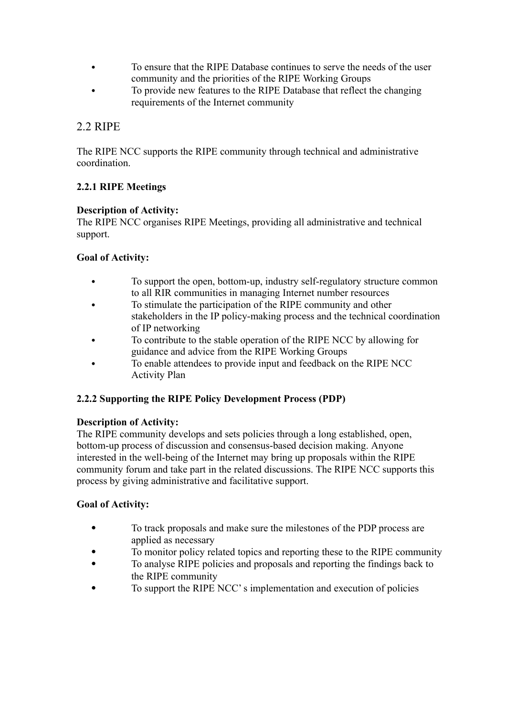- To ensure that the RIPE Database continues to serve the needs of the user community and the priorities of the RIPE Working Groups
- To provide new features to the RIPE Database that reflect the changing requirements of the Internet community

## 2.2 RIPE

The RIPE NCC supports the RIPE community through technical and administrative coordination.

### **2.2.1 RIPE Meetings**

### **Description of Activity:**

The RIPE NCC organises RIPE Meetings, providing all administrative and technical support.

### **Goal of Activity:**

- To support the open, bottom-up, industry self-regulatory structure common to all RIR communities in managing Internet number resources
- To stimulate the participation of the RIPE community and other stakeholders in the IP policy-making process and the technical coordination of IP networking
- To contribute to the stable operation of the RIPE NCC by allowing for guidance and advice from the RIPE Working Groups
- To enable attendees to provide input and feedback on the RIPE NCC Activity Plan

### **2.2.2 Supporting the RIPE Policy Development Process (PDP)**

### **Description of Activity:**

The RIPE community develops and sets policies through a long established, open, bottom-up process of discussion and consensus-based decision making. Anyone interested in the well-being of the Internet may bring up proposals within the RIPE community forum and take part in the related discussions. The RIPE NCC supports this process by giving administrative and facilitative support.

- To track proposals and make sure the milestones of the PDP process are applied as necessary
- To monitor policy related topics and reporting these to the RIPE community
- To analyse RIPE policies and proposals and reporting the findings back to the RIPE community
- To support the RIPE NCC's implementation and execution of policies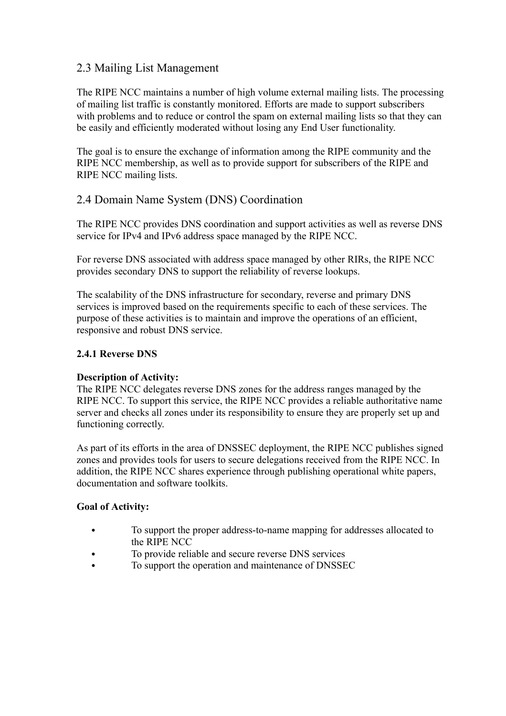## 2.3 Mailing List Management

The RIPE NCC maintains a number of high volume external mailing lists. The processing of mailing list traffic is constantly monitored. Efforts are made to support subscribers with problems and to reduce or control the spam on external mailing lists so that they can be easily and efficiently moderated without losing any End User functionality.

The goal is to ensure the exchange of information among the RIPE community and the RIPE NCC membership, as well as to provide support for subscribers of the RIPE and RIPE NCC mailing lists.

### 2.4 Domain Name System (DNS) Coordination

The RIPE NCC provides DNS coordination and support activities as well as reverse DNS service for IPv4 and IPv6 address space managed by the RIPE NCC.

For reverse DNS associated with address space managed by other RIRs, the RIPE NCC provides secondary DNS to support the reliability of reverse lookups.

The scalability of the DNS infrastructure for secondary, reverse and primary DNS services is improved based on the requirements specific to each of these services. The purpose of these activities is to maintain and improve the operations of an efficient, responsive and robust DNS service.

### **2.4.1 Reverse DNS**

### **Description of Activity:**

The RIPE NCC delegates reverse DNS zones for the address ranges managed by the RIPE NCC. To support this service, the RIPE NCC provides a reliable authoritative name server and checks all zones under its responsibility to ensure they are properly set up and functioning correctly.

As part of its efforts in the area of DNSSEC deployment, the RIPE NCC publishes signed zones and provides tools for users to secure delegations received from the RIPE NCC. In addition, the RIPE NCC shares experience through publishing operational white papers, documentation and software toolkits.

- To support the proper address-to-name mapping for addresses allocated to the RIPE NCC
- To provide reliable and secure reverse DNS services
- To support the operation and maintenance of DNSSEC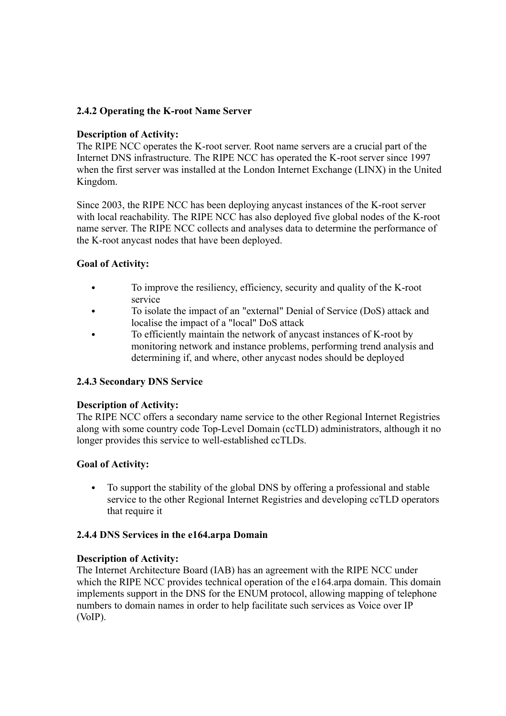#### **2.4.2 Operating the K-root Name Server**

#### **Description of Activity:**

The RIPE NCC operates the K-root server. Root name servers are a crucial part of the Internet DNS infrastructure. The RIPE NCC has operated the K-root server since 1997 when the first server was installed at the London Internet Exchange (LINX) in the United Kingdom.

Since 2003, the RIPE NCC has been deploying anycast instances of the K-root server with local reachability. The RIPE NCC has also deployed five global nodes of the K-root name server. The RIPE NCC collects and analyses data to determine the performance of the K-root anycast nodes that have been deployed.

### **Goal of Activity:**

- To improve the resiliency, efficiency, security and quality of the K-root service
- To isolate the impact of an "external" Denial of Service (DoS) attack and localise the impact of a "local" DoS attack
- To efficiently maintain the network of anycast instances of K-root by monitoring network and instance problems, performing trend analysis and determining if, and where, other anycast nodes should be deployed

#### **2.4.3 Secondary DNS Service**

#### **Description of Activity:**

The RIPE NCC offers a secondary name service to the other Regional Internet Registries along with some country code Top-Level Domain (ccTLD) administrators, although it no longer provides this service to well-established ccTLDs.

#### **Goal of Activity:**

 To support the stability of the global DNS by offering a professional and stable service to the other Regional Internet Registries and developing ccTLD operators that require it

#### **2.4.4 DNS Services in the e164.arpa Domain**

#### **Description of Activity:**

The Internet Architecture Board (IAB) has an agreement with the RIPE NCC under which the RIPE NCC provides technical operation of the e164 arpa domain. This domain implements support in the DNS for the ENUM protocol, allowing mapping of telephone numbers to domain names in order to help facilitate such services as Voice over IP (VoIP).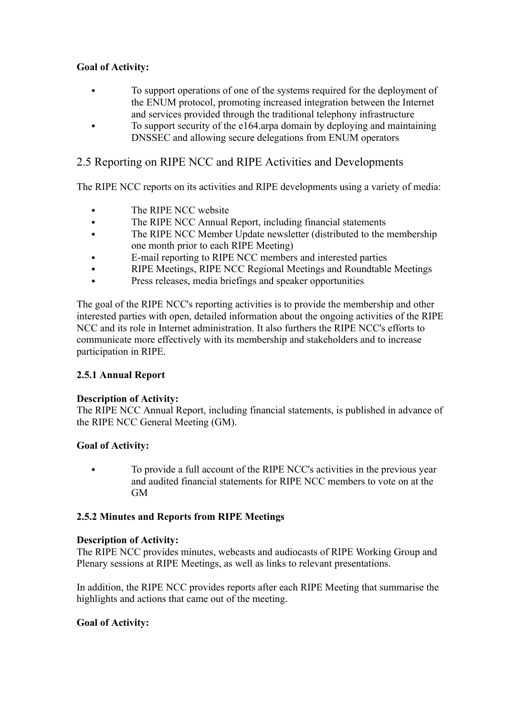### **Goal of Activity:**

- To support operations of one of the systems required for the deployment of the ENUM protocol, promoting increased integration between the Internet and services provided through the traditional telephony infrastructure
- To support security of the e164.arpa domain by deploying and maintaining DNSSEC and allowing secure delegations from ENUM operators

## 2.5 Reporting on RIPE NCC and RIPE Activities and Developments

The RIPE NCC reports on its activities and RIPE developments using a variety of media:

- The RIPE NCC website
- The RIPE NCC Annual Report, including financial statements
- The RIPE NCC Member Update newsletter (distributed to the membership one month prior to each RIPE Meeting)
- E-mail reporting to RIPE NCC members and interested parties
- RIPE Meetings, RIPE NCC Regional Meetings and Roundtable Meetings
- Press releases, media briefings and speaker opportunities

The goal of the RIPE NCC's reporting activities is to provide the membership and other interested parties with open, detailed information about the ongoing activities of the RIPE NCC and its role in Internet administration. It also furthers the RIPE NCC's efforts to communicate more effectively with its membership and stakeholders and to increase participation in RIPE.

### **2.5.1 Annual Report**

### **Description of Activity:**

The RIPE NCC Annual Report, including financial statements, is published in advance of the RIPE NCC General Meeting (GM).

### **Goal of Activity:**

 To provide a full account of the RIPE NCC's activities in the previous year and audited financial statements for RIPE NCC members to vote on at the GM

### **2.5.2 Minutes and Reports from RIPE Meetings**

#### **Description of Activity:**

The RIPE NCC provides minutes, webcasts and audiocasts of RIPE Working Group and Plenary sessions at RIPE Meetings, as well as links to relevant presentations.

In addition, the RIPE NCC provides reports after each RIPE Meeting that summarise the highlights and actions that came out of the meeting.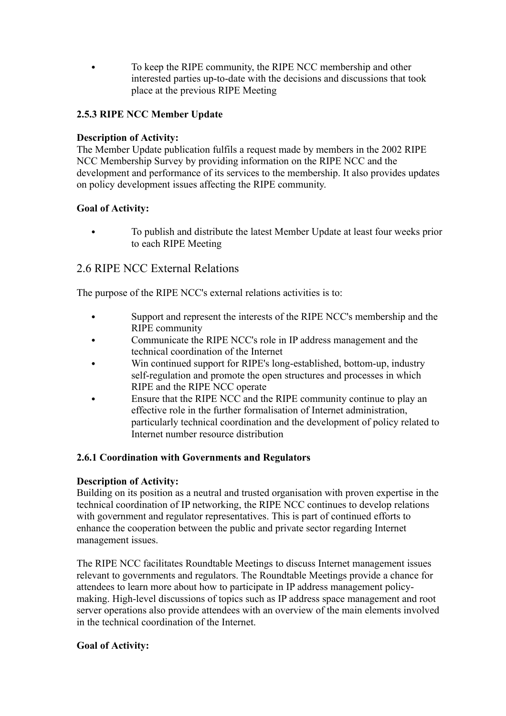To keep the RIPE community, the RIPE NCC membership and other interested parties up-to-date with the decisions and discussions that took place at the previous RIPE Meeting

### **2.5.3 RIPE NCC Member Update**

### **Description of Activity:**

The Member Update publication fulfils a request made by members in the 2002 RIPE NCC Membership Survey by providing information on the RIPE NCC and the development and performance of its services to the membership. It also provides updates on policy development issues affecting the RIPE community.

### **Goal of Activity:**

 To publish and distribute the latest Member Update at least four weeks prior to each RIPE Meeting

### 2.6 RIPE NCC External Relations

The purpose of the RIPE NCC's external relations activities is to:

- Support and represent the interests of the RIPE NCC's membership and the RIPE community
- Communicate the RIPE NCC's role in IP address management and the technical coordination of the Internet
- Win continued support for RIPE's long-established, bottom-up, industry self-regulation and promote the open structures and processes in which RIPE and the RIPE NCC operate
- Ensure that the RIPE NCC and the RIPE community continue to play an effective role in the further formalisation of Internet administration, particularly technical coordination and the development of policy related to Internet number resource distribution

### **2.6.1 Coordination with Governments and Regulators**

### **Description of Activity:**

Building on its position as a neutral and trusted organisation with proven expertise in the technical coordination of IP networking, the RIPE NCC continues to develop relations with government and regulator representatives. This is part of continued efforts to enhance the cooperation between the public and private sector regarding Internet management issues.

The RIPE NCC facilitates Roundtable Meetings to discuss Internet management issues relevant to governments and regulators. The Roundtable Meetings provide a chance for attendees to learn more about how to participate in IP address management policymaking. High-level discussions of topics such as IP address space management and root server operations also provide attendees with an overview of the main elements involved in the technical coordination of the Internet.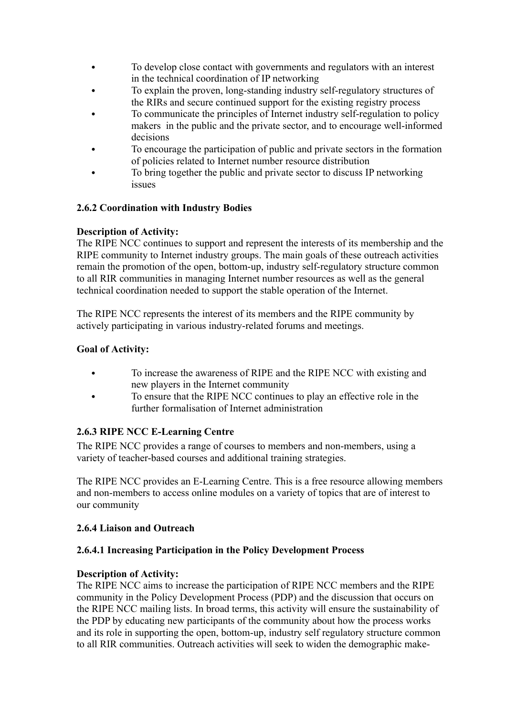- To develop close contact with governments and regulators with an interest in the technical coordination of IP networking
- To explain the proven, long-standing industry self-regulatory structures of the RIRs and secure continued support for the existing registry process
- To communicate the principles of Internet industry self-regulation to policy makers in the public and the private sector, and to encourage well-informed decisions
- To encourage the participation of public and private sectors in the formation of policies related to Internet number resource distribution
- To bring together the public and private sector to discuss IP networking issues

### **2.6.2 Coordination with Industry Bodies**

### **Description of Activity:**

The RIPE NCC continues to support and represent the interests of its membership and the RIPE community to Internet industry groups. The main goals of these outreach activities remain the promotion of the open, bottom-up, industry self-regulatory structure common to all RIR communities in managing Internet number resources as well as the general technical coordination needed to support the stable operation of the Internet.

The RIPE NCC represents the interest of its members and the RIPE community by actively participating in various industry-related forums and meetings.

### **Goal of Activity:**

- To increase the awareness of RIPE and the RIPE NCC with existing and new players in the Internet community
- To ensure that the RIPE NCC continues to play an effective role in the further formalisation of Internet administration

### **2.6.3 RIPE NCC E-Learning Centre**

The RIPE NCC provides a range of courses to members and non-members, using a variety of teacher-based courses and additional training strategies.

The RIPE NCC provides an E-Learning Centre. This is a free resource allowing members and non-members to access online modules on a variety of topics that are of interest to our community

### **2.6.4 Liaison and Outreach**

### **2.6.4.1 Increasing Participation in the Policy Development Process**

### **Description of Activity:**

The RIPE NCC aims to increase the participation of RIPE NCC members and the RIPE community in the Policy Development Process (PDP) and the discussion that occurs on the RIPE NCC mailing lists. In broad terms, this activity will ensure the sustainability of the PDP by educating new participants of the community about how the process works and its role in supporting the open, bottom-up, industry self regulatory structure common to all RIR communities. Outreach activities will seek to widen the demographic make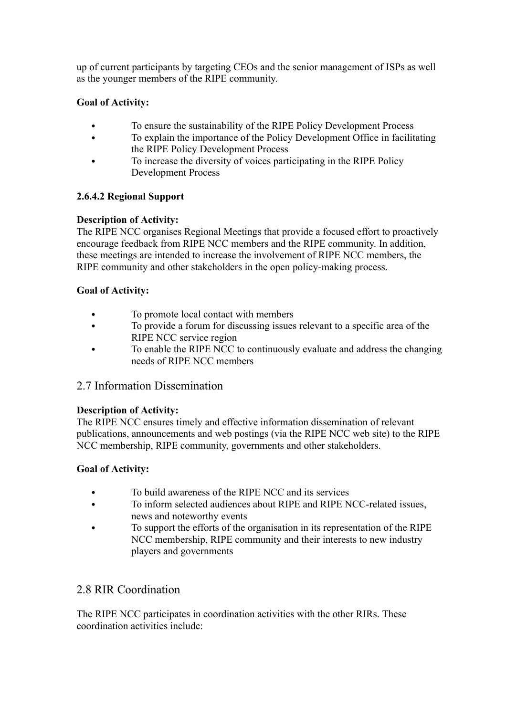up of current participants by targeting CEOs and the senior management of ISPs as well as the younger members of the RIPE community.

### **Goal of Activity:**

- To ensure the sustainability of the RIPE Policy Development Process
- To explain the importance of the Policy Development Office in facilitating the RIPE Policy Development Process
- To increase the diversity of voices participating in the RIPE Policy Development Process

### **2.6.4.2 Regional Support**

### **Description of Activity:**

The RIPE NCC organises Regional Meetings that provide a focused effort to proactively encourage feedback from RIPE NCC members and the RIPE community. In addition, these meetings are intended to increase the involvement of RIPE NCC members, the RIPE community and other stakeholders in the open policy-making process.

### **Goal of Activity:**

- To promote local contact with members
- To provide a forum for discussing issues relevant to a specific area of the RIPE NCC service region
- To enable the RIPE NCC to continuously evaluate and address the changing needs of RIPE NCC members

## 2.7 Information Dissemination

### **Description of Activity:**

The RIPE NCC ensures timely and effective information dissemination of relevant publications, announcements and web postings (via the RIPE NCC web site) to the RIPE NCC membership, RIPE community, governments and other stakeholders.

### **Goal of Activity:**

- To build awareness of the RIPE NCC and its services
- To inform selected audiences about RIPE and RIPE NCC-related issues, news and noteworthy events
- To support the efforts of the organisation in its representation of the RIPE NCC membership, RIPE community and their interests to new industry players and governments

## 2.8 RIR Coordination

The RIPE NCC participates in coordination activities with the other RIRs. These coordination activities include: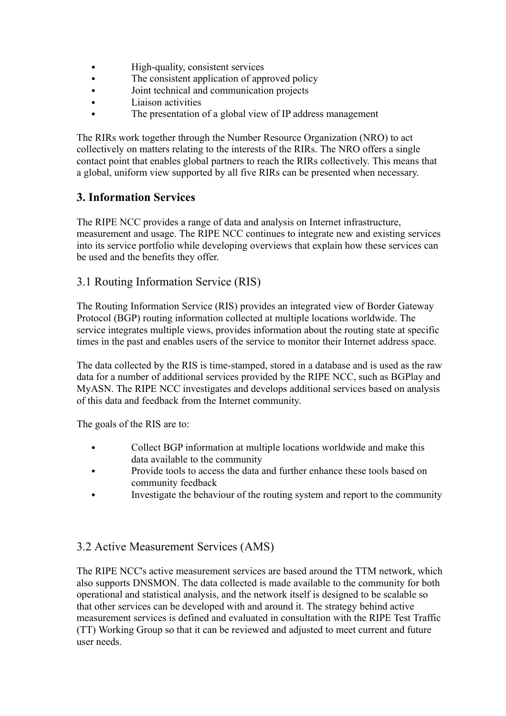- High-quality, consistent services
- The consistent application of approved policy
- Joint technical and communication projects
- Liaison activities
- The presentation of a global view of IP address management

The RIRs work together through the Number Resource Organization (NRO) to act collectively on matters relating to the interests of the RIRs. The NRO offers a single contact point that enables global partners to reach the RIRs collectively. This means that a global, uniform view supported by all five RIRs can be presented when necessary.

### **3. Information Services**

The RIPE NCC provides a range of data and analysis on Internet infrastructure, measurement and usage. The RIPE NCC continues to integrate new and existing services into its service portfolio while developing overviews that explain how these services can be used and the benefits they offer.

### 3.1 Routing Information Service (RIS)

The Routing Information Service (RIS) provides an integrated view of Border Gateway Protocol (BGP) routing information collected at multiple locations worldwide. The service integrates multiple views, provides information about the routing state at specific times in the past and enables users of the service to monitor their Internet address space.

The data collected by the RIS is time-stamped, stored in a database and is used as the raw data for a number of additional services provided by the RIPE NCC, such as BGPlay and MyASN. The RIPE NCC investigates and develops additional services based on analysis of this data and feedback from the Internet community.

The goals of the RIS are to:

- Collect BGP information at multiple locations worldwide and make this data available to the community
- Provide tools to access the data and further enhance these tools based on community feedback
- Investigate the behaviour of the routing system and report to the community

## 3.2 Active Measurement Services (AMS)

The RIPE NCC's active measurement services are based around the TTM network, which also supports DNSMON. The data collected is made available to the community for both operational and statistical analysis, and the network itself is designed to be scalable so that other services can be developed with and around it. The strategy behind active measurement services is defined and evaluated in consultation with the RIPE Test Traffic (TT) Working Group so that it can be reviewed and adjusted to meet current and future user needs.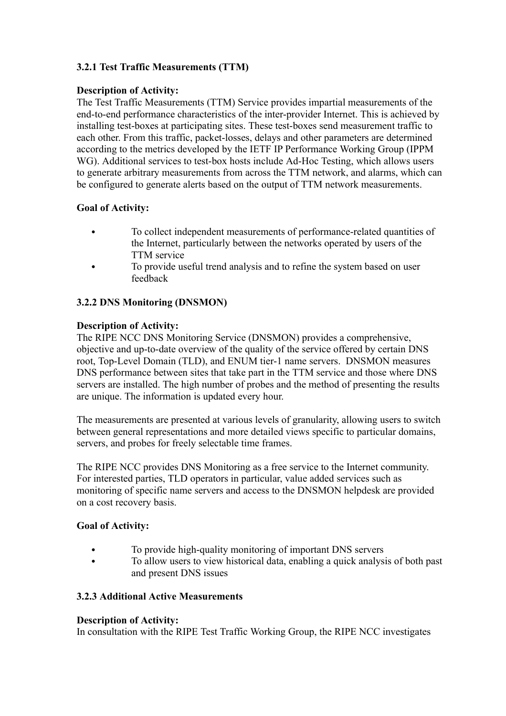### **3.2.1 Test Traffic Measurements (TTM)**

#### **Description of Activity:**

The Test Traffic Measurements (TTM) Service provides impartial measurements of the end-to-end performance characteristics of the inter-provider Internet. This is achieved by installing test-boxes at participating sites. These test-boxes send measurement traffic to each other. From this traffic, packet-losses, delays and other parameters are determined according to the metrics developed by the IETF IP Performance Working Group (IPPM WG). Additional services to test-box hosts include Ad-Hoc Testing, which allows users to generate arbitrary measurements from across the TTM network, and alarms, which can be configured to generate alerts based on the output of TTM network measurements.

### **Goal of Activity:**

- To collect independent measurements of performance-related quantities of the Internet, particularly between the networks operated by users of the TTM service
- To provide useful trend analysis and to refine the system based on user feedback

### **3.2.2 DNS Monitoring (DNSMON)**

#### **Description of Activity:**

The RIPE NCC DNS Monitoring Service (DNSMON) provides a comprehensive, objective and up-to-date overview of the quality of the service offered by certain DNS root, Top-Level Domain (TLD), and ENUM tier-1 name servers. DNSMON measures DNS performance between sites that take part in the TTM service and those where DNS servers are installed. The high number of probes and the method of presenting the results are unique. The information is updated every hour.

The measurements are presented at various levels of granularity, allowing users to switch between general representations and more detailed views specific to particular domains, servers, and probes for freely selectable time frames.

The RIPE NCC provides DNS Monitoring as a free service to the Internet community. For interested parties, TLD operators in particular, value added services such as monitoring of specific name servers and access to the DNSMON helpdesk are provided on a cost recovery basis.

#### **Goal of Activity:**

- To provide high-quality monitoring of important DNS servers
- To allow users to view historical data, enabling a quick analysis of both past and present DNS issues

#### **3.2.3 Additional Active Measurements**

#### **Description of Activity:**

In consultation with the RIPE Test Traffic Working Group, the RIPE NCC investigates